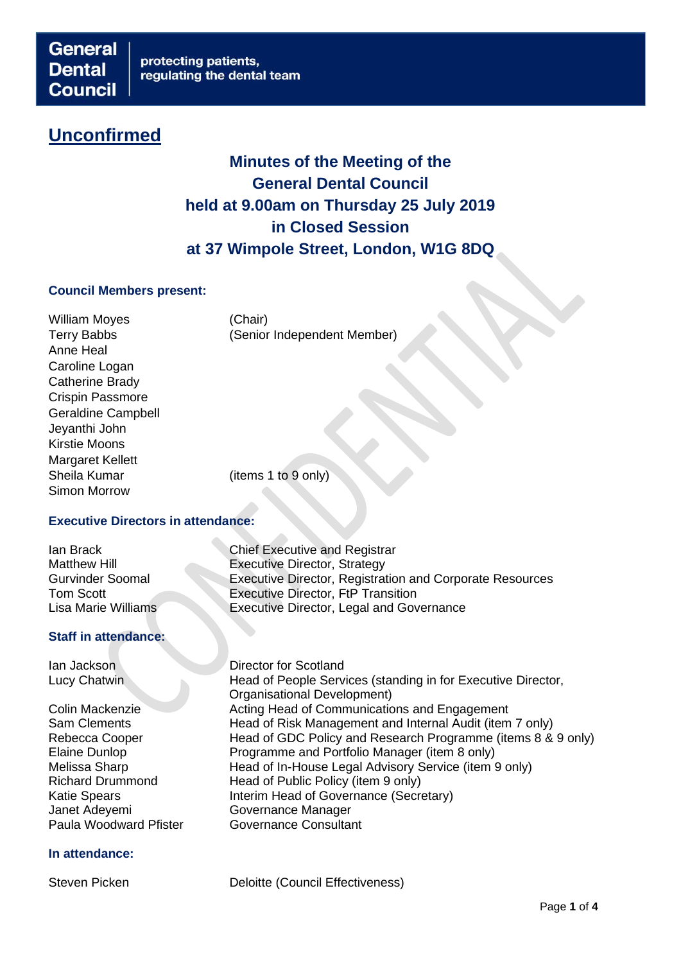# **Unconfirmed**

# **Minutes of the Meeting of the General Dental Council held at 9.00am on Thursday 25 July 2019 in Closed Session at 37 Wimpole Street, London, W1G 8DQ**

### **Council Members present:**

William Moyes (Chair) Anne Heal Caroline Logan Catherine Brady Crispin Passmore Geraldine Campbell Jeyanthi John Kirstie Moons Margaret Kellett Sheila Kumar (items 1 to 9 only) Simon Morrow

Terry Babbs (Senior Independent Member)

## **Executive Directors in attendance:**

## **Staff in attendance:**

Janet Adeyemi Governance Manager

## **In attendance:**

**Ian Brack Chief Executive and Registrar<br>Matthew Hill Chief Executive Director Strategy** Executive Director, Strategy Gurvinder Soomal Executive Director, Registration and Corporate Resources Tom Scott<br>
Lisa Marie Williams<br>
Executive Director, Legal and Gov Executive Director, Legal and Governance

**Ian Jackson** Director for Scotland Lucy Chatwin **Head of People Services (standing in for Executive Director,** Organisational Development) Colin Mackenzie Acting Head of Communications and Engagement Sam Clements **Head of Risk Management and Internal Audit (item 7 only)** Rebecca Cooper Head of GDC Policy and Research Programme (items 8 & 9 only)<br>Elaine Dunlop Programme and Portfolio Manager (item 8 only) Programme and Portfolio Manager (item 8 only) Melissa Sharp **Head of In-House Legal Advisory Service (item 9 only)** Richard Drummond Head of Public Policy (item 9 only) Katie Spears **Interim Head of Governance (Secretary)** Paula Woodward Pfister **Governance Consultant** 

Steven Picken **Deloitte** (Council Effectiveness)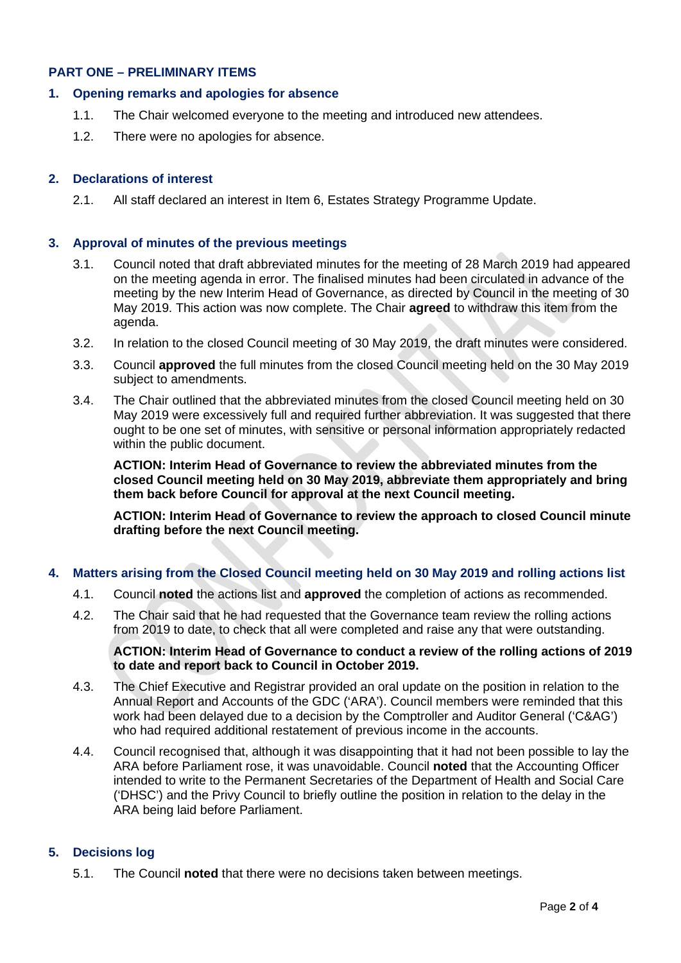## **PART ONE – PRELIMINARY ITEMS**

## **1. Opening remarks and apologies for absence**

- 1.1. The Chair welcomed everyone to the meeting and introduced new attendees.
- 1.2. There were no apologies for absence.

# **2. Declarations of interest**

2.1. All staff declared an interest in Item 6, Estates Strategy Programme Update.

# **3. Approval of minutes of the previous meetings**

- 3.1. Council noted that draft abbreviated minutes for the meeting of 28 March 2019 had appeared on the meeting agenda in error. The finalised minutes had been circulated in advance of the meeting by the new Interim Head of Governance, as directed by Council in the meeting of 30 May 2019. This action was now complete. The Chair **agreed** to withdraw this item from the agenda.
- 3.2. In relation to the closed Council meeting of 30 May 2019, the draft minutes were considered.
- 3.3. Council **approved** the full minutes from the closed Council meeting held on the 30 May 2019 subject to amendments.
- 3.4. The Chair outlined that the abbreviated minutes from the closed Council meeting held on 30 May 2019 were excessively full and required further abbreviation. It was suggested that there ought to be one set of minutes, with sensitive or personal information appropriately redacted within the public document.

**ACTION: Interim Head of Governance to review the abbreviated minutes from the closed Council meeting held on 30 May 2019, abbreviate them appropriately and bring them back before Council for approval at the next Council meeting.**

**ACTION: Interim Head of Governance to review the approach to closed Council minute drafting before the next Council meeting.** 

# **4. Matters arising from the Closed Council meeting held on 30 May 2019 and rolling actions list**

- 4.1. Council **noted** the actions list and **approved** the completion of actions as recommended.
- 4.2. The Chair said that he had requested that the Governance team review the rolling actions from 2019 to date, to check that all were completed and raise any that were outstanding.

## **ACTION: Interim Head of Governance to conduct a review of the rolling actions of 2019 to date and report back to Council in October 2019.**

- 4.3. The Chief Executive and Registrar provided an oral update on the position in relation to the Annual Report and Accounts of the GDC ('ARA'). Council members were reminded that this work had been delayed due to a decision by the Comptroller and Auditor General ('C&AG') who had required additional restatement of previous income in the accounts.
- 4.4. Council recognised that, although it was disappointing that it had not been possible to lay the ARA before Parliament rose, it was unavoidable. Council **noted** that the Accounting Officer intended to write to the Permanent Secretaries of the Department of Health and Social Care ('DHSC') and the Privy Council to briefly outline the position in relation to the delay in the ARA being laid before Parliament.

# **5. Decisions log**

5.1. The Council **noted** that there were no decisions taken between meetings.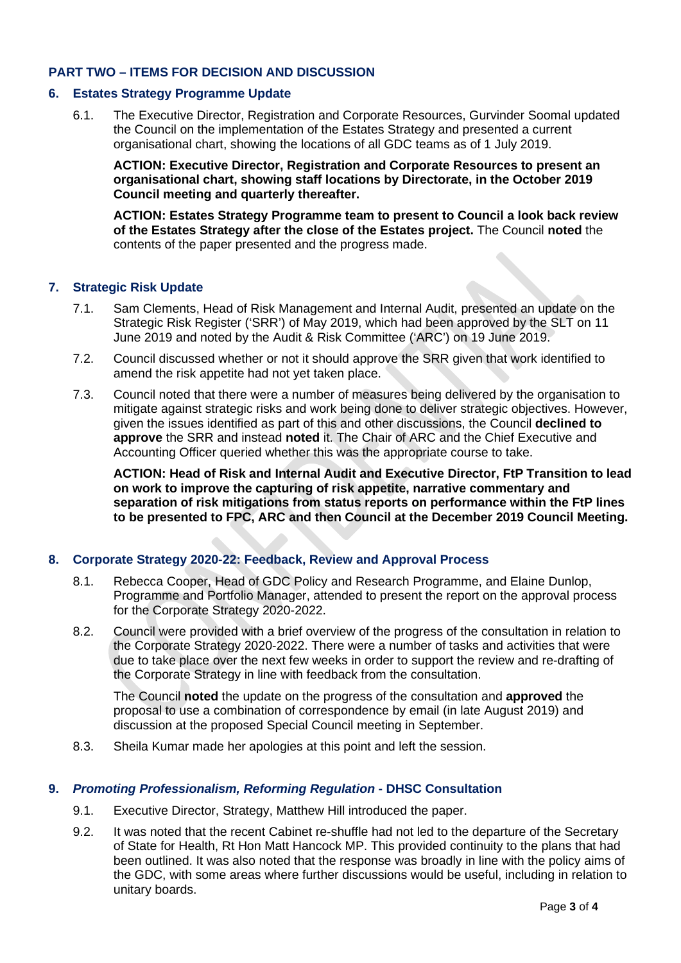## **PART TWO – ITEMS FOR DECISION AND DISCUSSION**

### **6. Estates Strategy Programme Update**

6.1. The Executive Director, Registration and Corporate Resources, Gurvinder Soomal updated the Council on the implementation of the Estates Strategy and presented a current organisational chart, showing the locations of all GDC teams as of 1 July 2019.

**ACTION: Executive Director, Registration and Corporate Resources to present an organisational chart, showing staff locations by Directorate, in the October 2019 Council meeting and quarterly thereafter.**

**ACTION: Estates Strategy Programme team to present to Council a look back review of the Estates Strategy after the close of the Estates project.** The Council **noted** the contents of the paper presented and the progress made.

## **7. Strategic Risk Update**

- 7.1. Sam Clements, Head of Risk Management and Internal Audit, presented an update on the Strategic Risk Register ('SRR') of May 2019, which had been approved by the SLT on 11 June 2019 and noted by the Audit & Risk Committee ('ARC') on 19 June 2019.
- 7.2. Council discussed whether or not it should approve the SRR given that work identified to amend the risk appetite had not yet taken place.
- 7.3. Council noted that there were a number of measures being delivered by the organisation to mitigate against strategic risks and work being done to deliver strategic objectives. However, given the issues identified as part of this and other discussions, the Council **declined to approve** the SRR and instead **noted** it. The Chair of ARC and the Chief Executive and Accounting Officer queried whether this was the appropriate course to take.

**ACTION: Head of Risk and Internal Audit and Executive Director, FtP Transition to lead on work to improve the capturing of risk appetite, narrative commentary and separation of risk mitigations from status reports on performance within the FtP lines to be presented to FPC, ARC and then Council at the December 2019 Council Meeting.**

## **8. Corporate Strategy 2020-22: Feedback, Review and Approval Process**

- 8.1. Rebecca Cooper, Head of GDC Policy and Research Programme, and Elaine Dunlop, Programme and Portfolio Manager, attended to present the report on the approval process for the Corporate Strategy 2020-2022.
- 8.2. Council were provided with a brief overview of the progress of the consultation in relation to the Corporate Strategy 2020-2022. There were a number of tasks and activities that were due to take place over the next few weeks in order to support the review and re-drafting of the Corporate Strategy in line with feedback from the consultation.

The Council **noted** the update on the progress of the consultation and **approved** the proposal to use a combination of correspondence by email (in late August 2019) and discussion at the proposed Special Council meeting in September.

8.3. Sheila Kumar made her apologies at this point and left the session.

#### **9.** *Promoting Professionalism, Reforming Regulation* **- DHSC Consultation**

- 9.1. Executive Director, Strategy, Matthew Hill introduced the paper.
- 9.2. It was noted that the recent Cabinet re-shuffle had not led to the departure of the Secretary of State for Health, Rt Hon Matt Hancock MP. This provided continuity to the plans that had been outlined. It was also noted that the response was broadly in line with the policy aims of the GDC, with some areas where further discussions would be useful, including in relation to unitary boards.